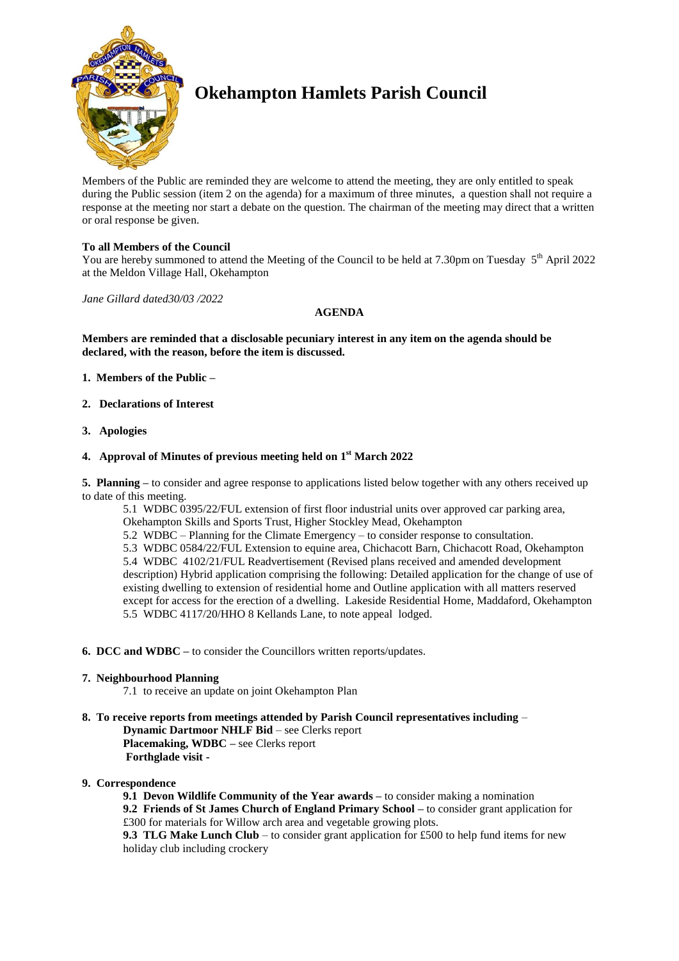

# **Okehampton Hamlets Parish Council**

Members of the Public are reminded they are welcome to attend the meeting, they are only entitled to speak during the Public session (item 2 on the agenda) for a maximum of three minutes, a question shall not require a response at the meeting nor start a debate on the question. The chairman of the meeting may direct that a written or oral response be given.

# **To all Members of the Council**

You are hereby summoned to attend the Meeting of the Council to be held at 7.30pm on Tuesday 5<sup>th</sup> April 2022 at the Meldon Village Hall, Okehampton

*Jane Gillard dated30/03 /2022*

## **AGENDA**

**Members are reminded that a disclosable pecuniary interest in any item on the agenda should be declared, with the reason, before the item is discussed.** 

- **1. Members of the Public –**
- **2. Declarations of Interest**
- **3. Apologies**

## **4. Approval of Minutes of previous meeting held on 1 st March 2022**

**5. Planning –** to consider and agree response to applications listed below together with any others received up to date of this meeting.

5.1 WDBC 0395/22/FUL extension of first floor industrial units over approved car parking area, Okehampton Skills and Sports Trust, Higher Stockley Mead, Okehampton 5.2 WDBC – Planning for the Climate Emergency – to consider response to consultation. 5.3 WDBC 0584/22/FUL Extension to equine area, Chichacott Barn, Chichacott Road, Okehampton 5.4 WDBC 4102/21/FUL Readvertisement (Revised plans received and amended development description) Hybrid application comprising the following: Detailed application for the change of use of existing dwelling to extension of residential home and Outline application with all matters reserved except for access for the erection of a dwelling. Lakeside Residential Home, Maddaford, Okehampton 5.5 WDBC 4117/20/HHO 8 Kellands Lane, to note appeal lodged.

- **6. DCC and WDBC –** to consider the Councillors written reports/updates.
- **7. Neighbourhood Planning**

7.1 to receive an update on joint Okehampton Plan

# **8. To receive reports from meetings attended by Parish Council representatives including** –

**Dynamic Dartmoor NHLF Bid** – see Clerks report **Placemaking, WDBC –** see Clerks report **Forthglade visit -**

#### **9. Correspondence**

**9.1 Devon Wildlife Community of the Year awards –** to consider making a nomination **9.2 Friends of St James Church of England Primary School –** to consider grant application for £300 for materials for Willow arch area and vegetable growing plots. **9.3 TLG Make Lunch Club** – to consider grant application for £500 to help fund items for new holiday club including crockery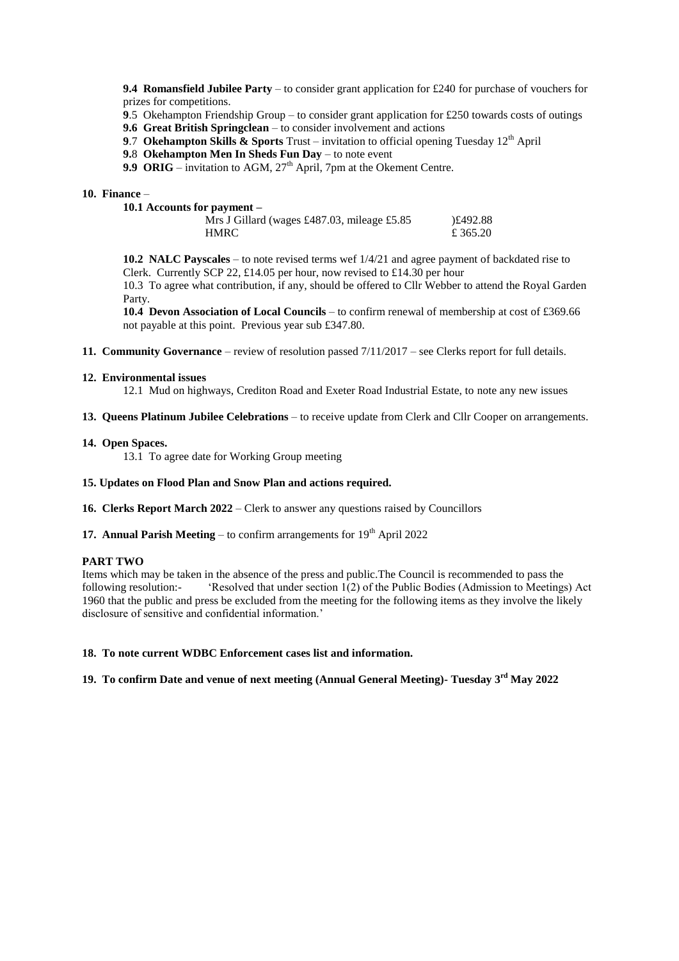**9.4 Romansfield Jubilee Party** – to consider grant application for £240 for purchase of vouchers for prizes for competitions.

**9**.5 Okehampton Friendship Group – to consider grant application for £250 towards costs of outings

**9.6 Great British Springclean** – to consider involvement and actions

- **9.7 Okehampton Skills & Sports** Trust invitation to official opening Tuesday 12<sup>th</sup> April
- **9.**8 **Okehampton Men In Sheds Fun Day** to note event
- **9.9 ORIG** invitation to AGM, 27<sup>th</sup> April, 7pm at the Okement Centre.

#### **10. Finance** –

| 10.1 Accounts for payment –                 |          |
|---------------------------------------------|----------|
| Mrs J Gillard (wages £487.03, mileage £5.85 | E492.88  |
| <b>HMRC</b>                                 | £ 365.20 |

**10.2 NALC Payscales** – to note revised terms wef 1/4/21 and agree payment of backdated rise to Clerk. Currently SCP 22, £14.05 per hour, now revised to £14.30 per hour

10.3 To agree what contribution, if any, should be offered to Cllr Webber to attend the Royal Garden Party.

**10.4 Devon Association of Local Councils** – to confirm renewal of membership at cost of £369.66 not payable at this point. Previous year sub £347.80.

**11. Community Governance** – review of resolution passed 7/11/2017 – see Clerks report for full details.

#### **12. Environmental issues**

12.1 Mud on highways, Crediton Road and Exeter Road Industrial Estate, to note any new issues

**13. Queens Platinum Jubilee Celebrations** – to receive update from Clerk and Cllr Cooper on arrangements.

#### **14. Open Spaces.**

13.1 To agree date for Working Group meeting

#### **15. Updates on Flood Plan and Snow Plan and actions required.**

**16. Clerks Report March 2022** – Clerk to answer any questions raised by Councillors

**17. Annual Parish Meeting** – to confirm arrangements for  $19<sup>th</sup>$  April 2022

#### **PART TWO**

Items which may be taken in the absence of the press and public.The Council is recommended to pass the following resolution:- 'Resolved that under section 1(2) of the Public Bodies (Admission to Meetings) Act 1960 that the public and press be excluded from the meeting for the following items as they involve the likely disclosure of sensitive and confidential information.'

#### **18. To note current WDBC Enforcement cases list and information.**

# **19. To confirm Date and venue of next meeting (Annual General Meeting)- Tuesday 3 rd May 2022**